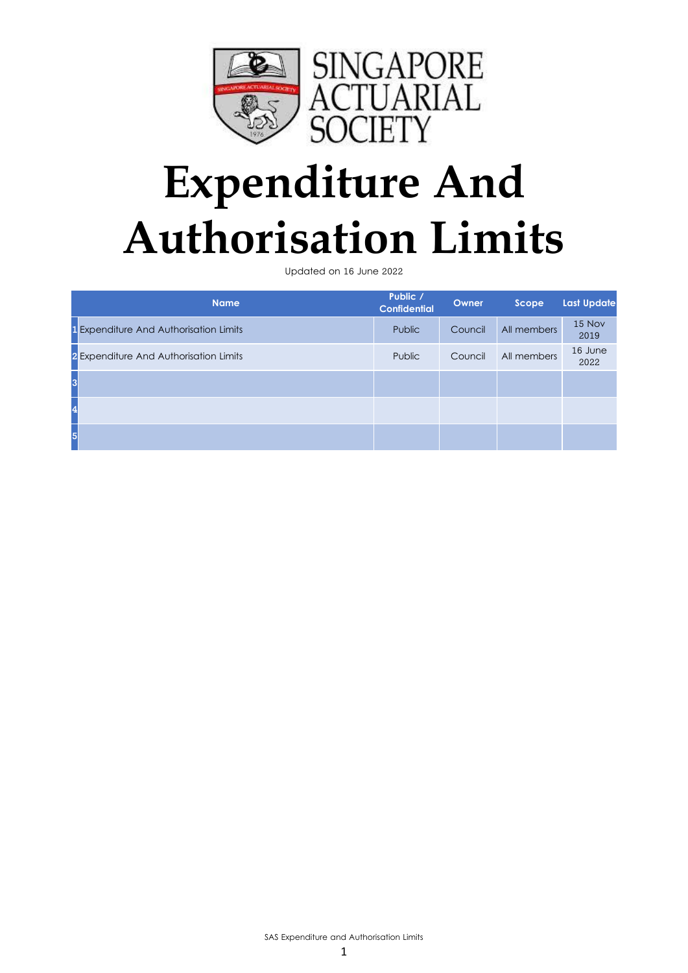

# **Expenditure And Authorisation Limits**

Updated on 16 June 2022

|                         | <b>Name</b>                                   | Public /<br><b>Confidential</b> | Owner   | Scope       | <b>Last Update</b> |
|-------------------------|-----------------------------------------------|---------------------------------|---------|-------------|--------------------|
|                         | <b>I</b> Expenditure And Authorisation Limits | Public                          | Council | All members | 15 Nov<br>2019     |
|                         | 2 Expenditure And Authorisation Limits        | Public                          | Council | All members | 16 June<br>2022    |
| 3                       |                                               |                                 |         |             |                    |
| $\overline{\mathbf{z}}$ |                                               |                                 |         |             |                    |
| 5                       |                                               |                                 |         |             |                    |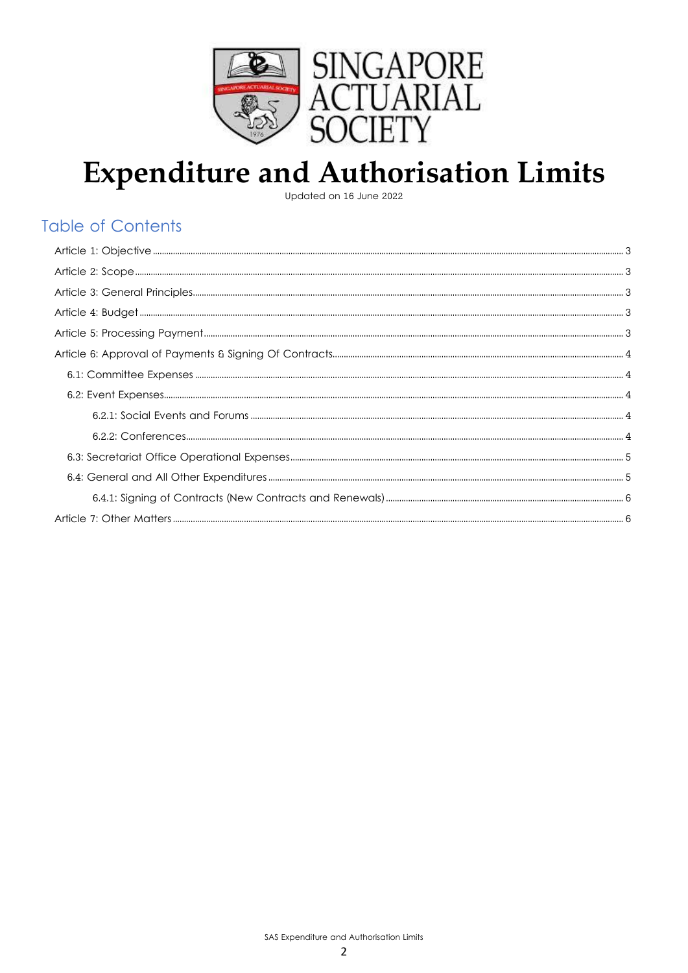

# Expenditure and Authorisation Limits

# **Table of Contents**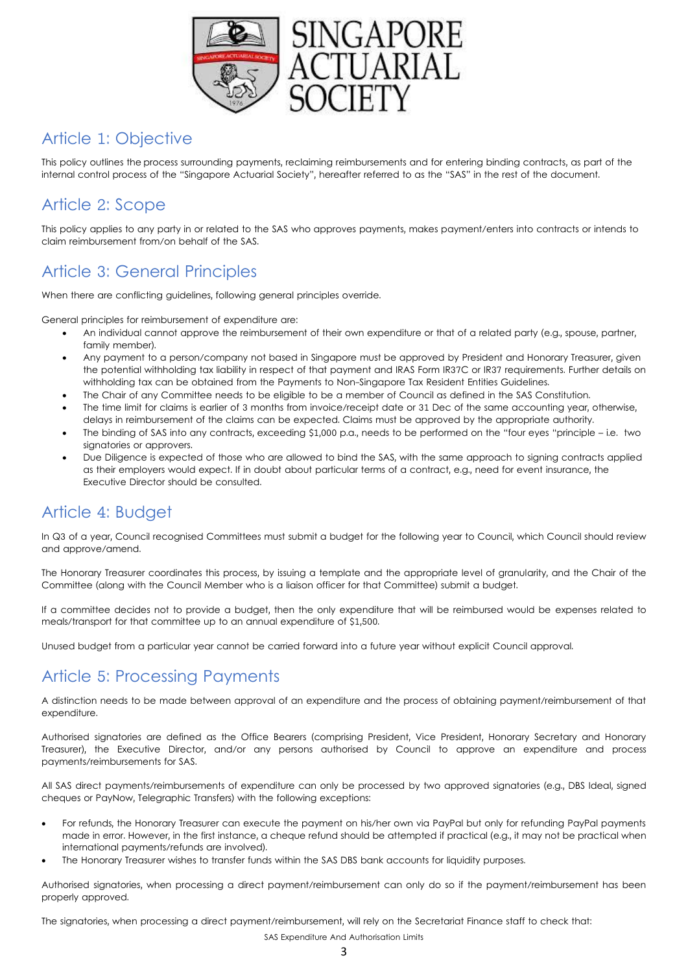

## Article 1: Objective

This policy outlines the process surrounding payments, reclaiming reimbursements and for entering binding contracts, as part of the internal control process of the "Singapore Actuarial Society", hereafter referred to as the "SAS" in the rest of the document.

## Article 2: Scope

This policy applies to any party in or related to the SAS who approves payments, makes payment/enters into contracts or intends to claim reimbursement from/on behalf of the SAS.

# Article 3: General Principles

When there are conflicting guidelines, following general principles override.

General principles for reimbursement of expenditure are:

- An individual cannot approve the reimbursement of their own expenditure or that of a related party (e.g., spouse, partner, family member).
- Any payment to a person/company not based in Singapore must be approved by President and Honorary Treasurer, given the potential withholding tax liability in respect of that payment and IRAS Form IR37C or IR37 requirements. Further details on withholding tax can be obtained from the Payments to Non-Singapore Tax Resident Entities Guidelines.
- The Chair of any Committee needs to be eligible to be a member of Council as defined in the SAS Constitution.
- The time limit for claims is earlier of 3 months from invoice/receipt date or 31 Dec of the same accounting year, otherwise, delays in reimbursement of the claims can be expected. Claims must be approved by the appropriate authority.
- The binding of SAS into any contracts, exceeding \$1,000 p.a., needs to be performed on the "four eyes "principle i.e. two signatories or approvers.
- Due Diligence is expected of those who are allowed to bind the SAS, with the same approach to signing contracts applied as their employers would expect. If in doubt about particular terms of a contract, e.g., need for event insurance, the Executive Director should be consulted.

# Article 4: Budget

In Q3 of a year, Council recognised Committees must submit a budget for the following year to Council, which Council should review and approve/amend.

The Honorary Treasurer coordinates this process, by issuing a template and the appropriate level of granularity, and the Chair of the Committee (along with the Council Member who is a liaison officer for that Committee) submit a budget.

If a committee decides not to provide a budget, then the only expenditure that will be reimbursed would be expenses related to meals/transport for that committee up to an annual expenditure of \$1,500.

Unused budget from a particular year cannot be carried forward into a future year without explicit Council approval.

## Article 5: Processing Payments

A distinction needs to be made between approval of an expenditure and the process of obtaining payment/reimbursement of that expenditure.

Authorised signatories are defined as the Office Bearers (comprising President, Vice President, Honorary Secretary and Honorary Treasurer), the Executive Director, and/or any persons authorised by Council to approve an expenditure and process payments/reimbursements for SAS.

All SAS direct payments/reimbursements of expenditure can only be processed by two approved signatories (e.g., DBS Ideal, signed cheques or PayNow, Telegraphic Transfers) with the following exceptions:

- For refunds, the Honorary Treasurer can execute the payment on his/her own via PayPal but only for refunding PayPal payments made in error. However, in the first instance, a cheque refund should be attempted if practical (e.g., it may not be practical when international payments/refunds are involved).
- The Honorary Treasurer wishes to transfer funds within the SAS DBS bank accounts for liquidity purposes.

Authorised signatories, when processing a direct payment/reimbursement can only do so if the payment/reimbursement has been properly approved.

The signatories, when processing a direct payment/reimbursement, will rely on the Secretariat Finance staff to check that:

SAS Expenditure And Authorisation Limits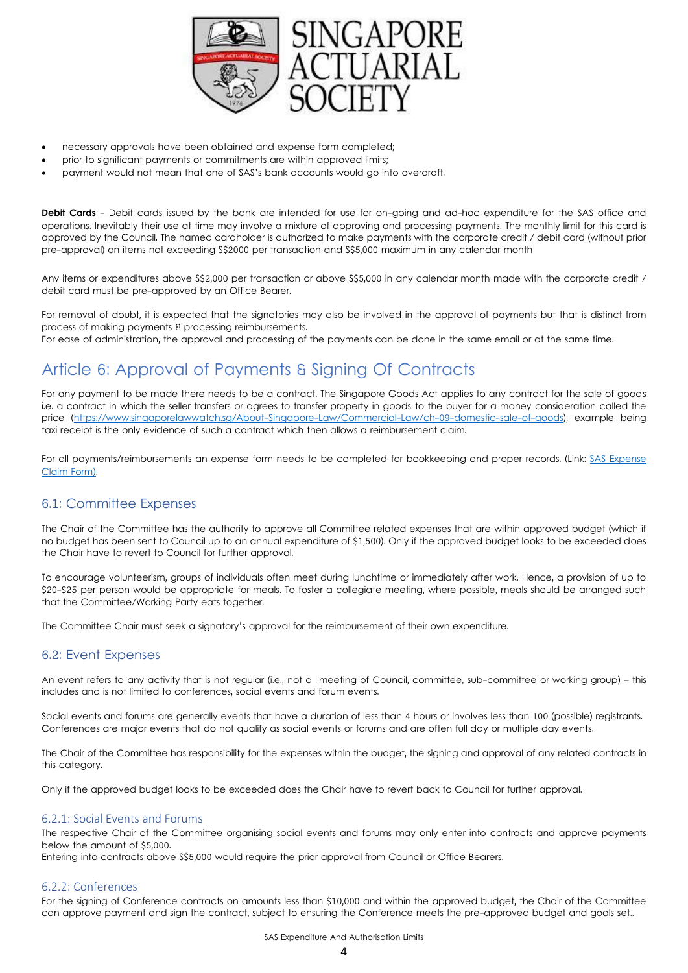

- necessary approvals have been obtained and expense form completed;
- prior to significant payments or commitments are within approved limits;
- payment would not mean that one of SAS's bank accounts would go into overdraft.

**Debit Cards** - Debit cards issued by the bank are intended for use for on-going and ad-hoc expenditure for the SAS office and operations. Inevitably their use at time may involve a mixture of approving and processing payments. The monthly limit for this card is approved by the Council. The named cardholder is authorized to make payments with the corporate credit / debit card (without prior pre-approval) on items not exceeding S\$2000 per transaction and S\$5,000 maximum in any calendar month

Any items or expenditures above \$\$2,000 per transaction or above \$\$5,000 in any calendar month made with the corporate credit / debit card must be pre-approved by an Office Bearer.

For removal of doubt, it is expected that the signatories may also be involved in the approval of payments but that is distinct from process of making payments & processing reimbursements.

For ease of administration, the approval and processing of the payments can be done in the same email or at the same time.

# Article 6: Approval of Payments & Signing Of Contracts

For any payment to be made there needs to be a contract. The Singapore Goods Act applies to any contract for the sale of goods i.e. a contract in which the seller transfers or agrees to transfer property in goods to the buyer for a money consideration called the price [\(https://www.singaporelawwatch.sg/About-Singapore-Law/Commercial-Law/ch-09-domestic-sale-of-goods\)](https://www.singaporelawwatch.sg/About-Singapore-Law/Commercial-Law/ch-09-domestic-sale-of-goods), example being taxi receipt is the only evidence of such a contract which then allows a reimbursement claim.

For all payments/reimbursements an expense form needs to be completed for bookkeeping and proper records. (Link: [SAS Expense](https://www.actuaries.org.sg/sites/default/files/2020-01/SASExpenseClaimForm2020Jan20.xlsx)  [Claim Form\).](https://www.actuaries.org.sg/sites/default/files/2020-01/SASExpenseClaimForm2020Jan20.xlsx)

## 6.1: Committee Expenses

The Chair of the Committee has the authority to approve all Committee related expenses that are within approved budget (which if no budget has been sent to Council up to an annual expenditure of \$1,500). Only if the approved budget looks to be exceeded does the Chair have to revert to Council for further approval.

To encourage volunteerism, groups of individuals often meet during lunchtime or immediately after work. Hence, a provision of up to \$20-\$25 per person would be appropriate for meals. To foster a collegiate meeting, where possible, meals should be arranged such that the Committee/Working Party eats together.

The Committee Chair must seek a signatory's approval for the reimbursement of their own expenditure.

## 6.2: Event Expenses

An event refers to any activity that is not regular (i.e., not a meeting of Council, committee, sub-committee or working group) – this includes and is not limited to conferences, social events and forum events.

Social events and forums are generally events that have a duration of less than 4 hours or involves less than 100 (possible) registrants. Conferences are major events that do not qualify as social events or forums and are often full day or multiple day events.

The Chair of the Committee has responsibility for the expenses within the budget, the signing and approval of any related contracts in this category.

Only if the approved budget looks to be exceeded does the Chair have to revert back to Council for further approval.

### 6.2.1: Social Events and Forums

The respective Chair of the Committee organising social events and forums may only enter into contracts and approve payments below the amount of \$5,000.

Entering into contracts above S\$5,000 would require the prior approval from Council or Office Bearers.

#### 6.2.2: Conferences

For the signing of Conference contracts on amounts less than \$10,000 and within the approved budget, the Chair of the Committee can approve payment and sign the contract, subject to ensuring the Conference meets the pre-approved budget and goals set..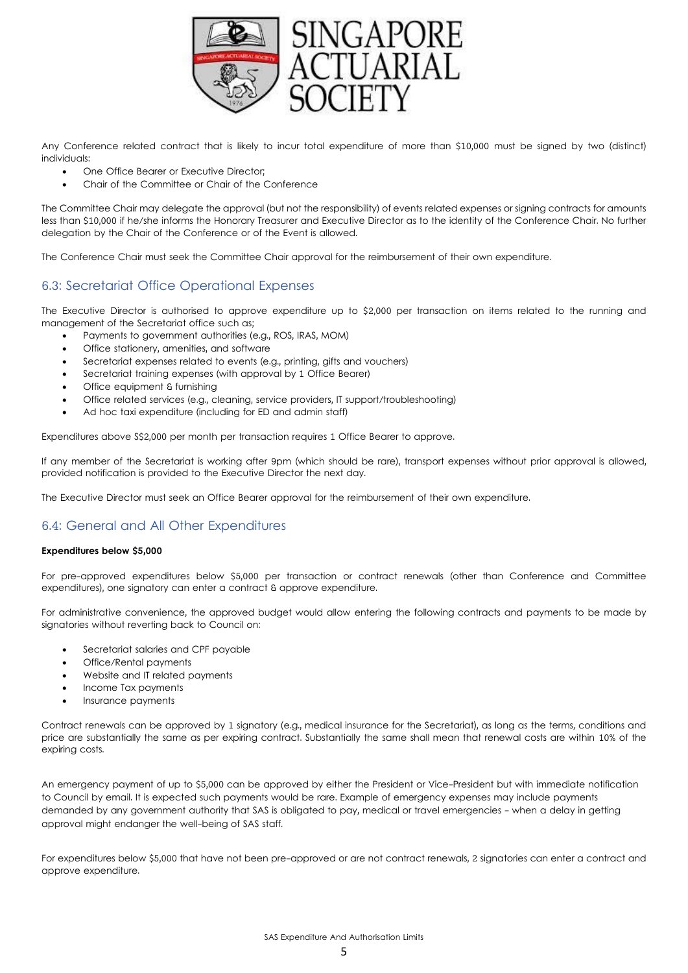

Any Conference related contract that is likely to incur total expenditure of more than \$10,000 must be signed by two (distinct) individuals:

- One Office Bearer or Executive Director;
- Chair of the Committee or Chair of the Conference

The Committee Chair may delegate the approval (but not the responsibility) of events related expenses or signing contracts for amounts less than \$10,000 if he/she informs the Honorary Treasurer and Executive Director as to the identity of the Conference Chair. No further delegation by the Chair of the Conference or of the Event is allowed.

The Conference Chair must seek the Committee Chair approval for the reimbursement of their own expenditure.

## 6.3: Secretariat Office Operational Expenses

The Executive Director is authorised to approve expenditure up to \$2,000 per transaction on items related to the running and management of the Secretariat office such as;

- Payments to government authorities (e.g., ROS, IRAS, MOM)
- Office stationery, amenities, and software
- Secretariat expenses related to events (e.g., printing, gifts and vouchers)
- Secretariat training expenses (with approval by 1 Office Bearer)
- Office equipment & furnishing
- Office related services (e.g., cleaning, service providers, IT support/troubleshooting)
- Ad hoc taxi expenditure (including for ED and admin staff)

Expenditures above S\$2,000 per month per transaction requires 1 Office Bearer to approve.

If any member of the Secretariat is working after 9pm (which should be rare), transport expenses without prior approval is allowed, provided notification is provided to the Executive Director the next day.

The Executive Director must seek an Office Bearer approval for the reimbursement of their own expenditure.

## 6.4: General and All Other Expenditures

#### **Expenditures below \$5,000**

For pre-approved expenditures below \$5,000 per transaction or contract renewals (other than Conference and Committee expenditures), one signatory can enter a contract & approve expenditure.

For administrative convenience, the approved budget would allow entering the following contracts and payments to be made by signatories without reverting back to Council on:

- Secretariat salaries and CPF payable
- Office/Rental payments
- Website and IT related payments
- Income Tax payments
- Insurance payments

Contract renewals can be approved by 1 signatory (e.g., medical insurance for the Secretariat), as long as the terms, conditions and price are substantially the same as per expiring contract. Substantially the same shall mean that renewal costs are within 10% of the expiring costs.

An emergency payment of up to \$5,000 can be approved by either the President or Vice-President but with immediate notification to Council by email. It is expected such payments would be rare. Example of emergency expenses may include payments demanded by any government authority that SAS is obligated to pay, medical or travel emergencies - when a delay in getting approval might endanger the well-being of SAS staff.

For expenditures below \$5,000 that have not been pre-approved or are not contract renewals, 2 signatories can enter a contract and approve expenditure.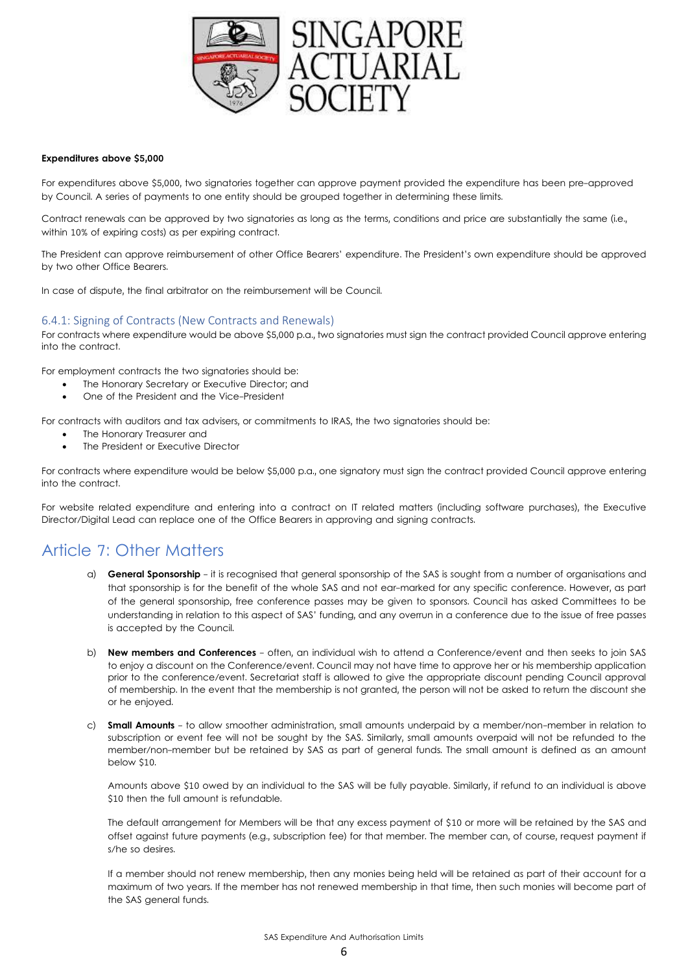

#### **Expenditures above \$5,000**

For expenditures above \$5,000, two signatories together can approve payment provided the expenditure has been pre-approved by Council. A series of payments to one entity should be grouped together in determining these limits.

Contract renewals can be approved by two signatories as long as the terms, conditions and price are substantially the same (i.e., within 10% of expiring costs) as per expiring contract.

The President can approve reimbursement of other Office Bearers' expenditure. The President's own expenditure should be approved by two other Office Bearers.

In case of dispute, the final arbitrator on the reimbursement will be Council.

#### 6.4.1: Signing of Contracts (New Contracts and Renewals)

For contracts where expenditure would be above \$5,000 p.a., two signatories must sign the contract provided Council approve entering into the contract.

For employment contracts the two signatories should be:

- The Honorary Secretary or Executive Director; and
- One of the President and the Vice-President

For contracts with auditors and tax advisers, or commitments to IRAS, the two signatories should be:

- The Honorary Treasurer and
- The President or Executive Director

For contracts where expenditure would be below \$5,000 p.a., one signatory must sign the contract provided Council approve entering into the contract.

For website related expenditure and entering into a contract on IT related matters (including software purchases), the Executive Director/Digital Lead can replace one of the Office Bearers in approving and signing contracts.

## Article 7: Other Matters

- a) **General Sponsorship** it is recognised that general sponsorship of the SAS is sought from a number of organisations and that sponsorship is for the benefit of the whole SAS and not ear-marked for any specific conference. However, as part of the general sponsorship, free conference passes may be given to sponsors. Council has asked Committees to be understanding in relation to this aspect of SAS' funding, and any overrun in a conference due to the issue of free passes is accepted by the Council.
- b) **New members and Conferences** often, an individual wish to attend a Conference/event and then seeks to join SAS to enjoy a discount on the Conference/event. Council may not have time to approve her or his membership application prior to the conference/event. Secretariat staff is allowed to give the appropriate discount pending Council approval of membership. In the event that the membership is not granted, the person will not be asked to return the discount she or he enjoyed.
- c) **Small Amounts** to allow smoother administration, small amounts underpaid by a member/non-member in relation to subscription or event fee will not be sought by the SAS. Similarly, small amounts overpaid will not be refunded to the member/non-member but be retained by SAS as part of general funds. The small amount is defined as an amount below \$10.

Amounts above \$10 owed by an individual to the SAS will be fully payable. Similarly, if refund to an individual is above \$10 then the full amount is refundable.

The default arrangement for Members will be that any excess payment of \$10 or more will be retained by the SAS and offset against future payments (e.g., subscription fee) for that member. The member can, of course, request payment if s/he so desires.

If a member should not renew membership, then any monies being held will be retained as part of their account for a maximum of two years. If the member has not renewed membership in that time, then such monies will become part of the SAS general funds.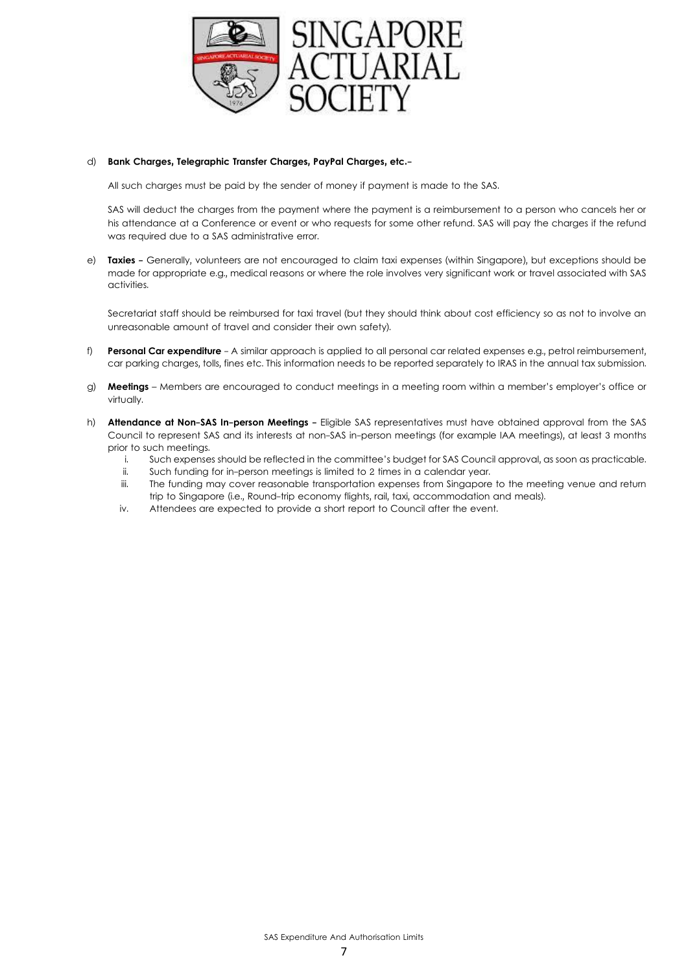

#### d) **Bank Charges, Telegraphic Transfer Charges, PayPal Charges, etc.-**

All such charges must be paid by the sender of money if payment is made to the SAS.

SAS will deduct the charges from the payment where the payment is a reimbursement to a person who cancels her or his attendance at a Conference or event or who requests for some other refund. SAS will pay the charges if the refund was required due to a SAS administrative error.

e) **Taxies -** Generally, volunteers are not encouraged to claim taxi expenses (within Singapore), but exceptions should be made for appropriate e.g., medical reasons or where the role involves very significant work or travel associated with SAS activities.

Secretariat staff should be reimbursed for taxi travel (but they should think about cost efficiency so as not to involve an unreasonable amount of travel and consider their own safety).

- f) **Personal Car expenditure** A similar approach is applied to all personal car related expenses e.g., petrol reimbursement, car parking charges, tolls, fines etc. This information needs to be reported separately to IRAS in the annual tax submission.
- g) **Meetings** Members are encouraged to conduct meetings in a meeting room within a member's employer's office or virtually.
- h) **Attendance at Non-SAS In-person Meetings -** Eligible SAS representatives must have obtained approval from the SAS Council to represent SAS and its interests at non-SAS in-person meetings (for example IAA meetings), at least 3 months prior to such meetings.
	- i. Such expenses should be reflected in the committee's budget for SAS Council approval, as soon as practicable.
	- ii. Such funding for in-person meetings is limited to 2 times in a calendar year.
	- iii. The funding may cover reasonable transportation expenses from Singapore to the meeting venue and return trip to Singapore (i.e., Round-trip economy flights, rail, taxi, accommodation and meals).
	- iv. Attendees are expected to provide a short report to Council after the event.